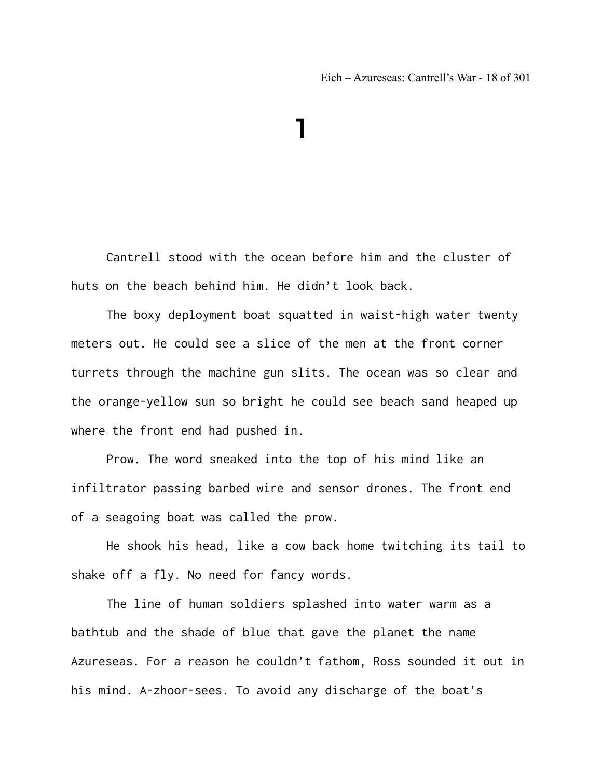## **1**

Cantrell stood with the ocean before him and the cluster of huts on the beach behind him. He didn't look back.

The boxy deployment boat squatted in waist-high water twenty meters out. He could see a slice of the men at the front corner turrets through the machine gun slits. The ocean was so clear and the orange-yellow sun so bright he could see beach sand heaped up where the front end had pushed in.

Prow. The word sneaked into the top of his mind like an infiltrator passing barbed wire and sensor drones. The front end of a seagoing boat was called the prow.

He shook his head, like a cow back home twitching its tail to shake off a fly. No need for fancy words.

The line of human soldiers splashed into water warm as a bathtub and the shade of blue that gave the planet the name Azureseas. For a reason he couldn't fathom, Ross sounded it out in his mind. A-zhoor-sees. To avoid any discharge of the boat's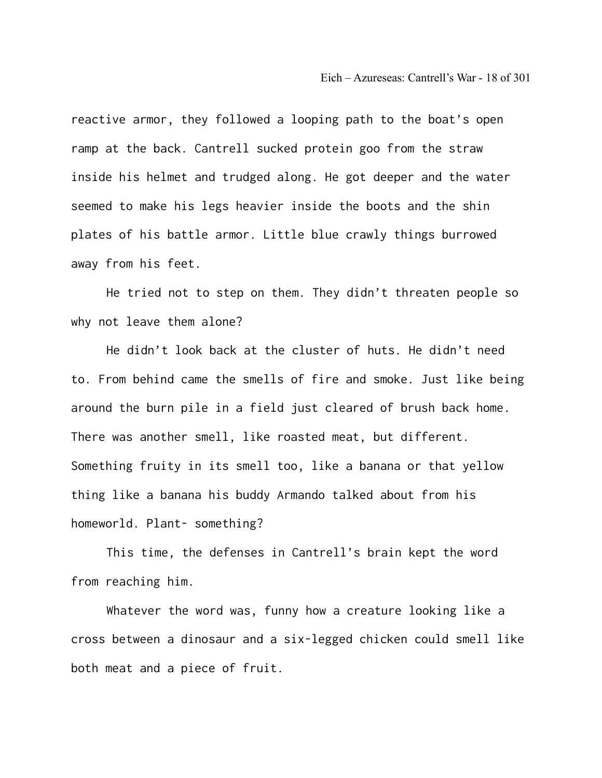Eich – Azureseas: Cantrell's War - 18 of 301

reactive armor, they followed a looping path to the boat's open ramp at the back. Cantrell sucked protein goo from the straw inside his helmet and trudged along. He got deeper and the water seemed to make his legs heavier inside the boots and the shin plates of his battle armor. Little blue crawly things burrowed away from his feet.

He tried not to step on them. They didn't threaten people so why not leave them alone?

He didn't look back at the cluster of huts. He didn't need to. From behind came the smells of fire and smoke. Just like being around the burn pile in a field just cleared of brush back home. There was another smell, like roasted meat, but different. Something fruity in its smell too, like a banana or that yellow thing like a banana his buddy Armando talked about from his homeworld. Plant- something?

This time, the defenses in Cantrell's brain kept the word from reaching him.

Whatever the word was, funny how a creature looking like a cross between a dinosaur and a six-legged chicken could smell like both meat and a piece of fruit.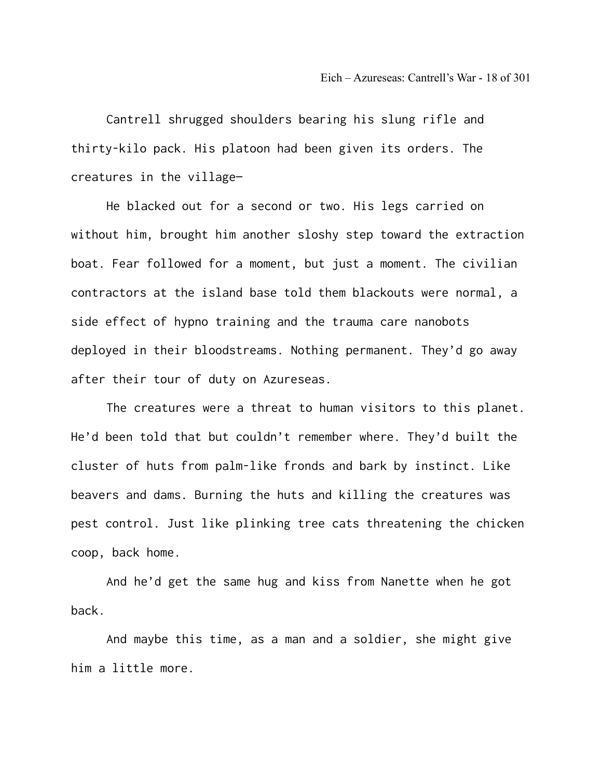Cantrell shrugged shoulders bearing his slung rifle and thirty-kilo pack. His platoon had been given its orders. The creatures in the village—

He blacked out for a second or two. His legs carried on without him, brought him another sloshy step toward the extraction boat. Fear followed for a moment, but just a moment. The civilian contractors at the island base told them blackouts were normal, a side effect of hypno training and the trauma care nanobots deployed in their bloodstreams. Nothing permanent. They'd go away after their tour of duty on Azureseas.

The creatures were a threat to human visitors to this planet. He'd been told that but couldn't remember where. They'd built the cluster of huts from palm-like fronds and bark by instinct. Like beavers and dams. Burning the huts and killing the creatures was pest control. Just like plinking tree cats threatening the chicken coop, back home.

And he'd get the same hug and kiss from Nanette when he got back.

And maybe this time, as a man and a soldier, she might give him a little more.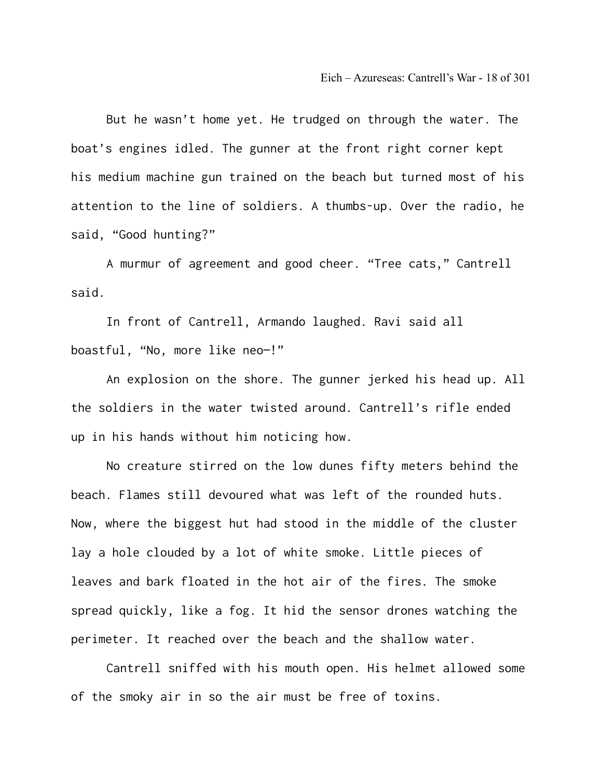But he wasn't home yet. He trudged on through the water. The boat's engines idled. The gunner at the front right corner kept his medium machine gun trained on the beach but turned most of his attention to the line of soldiers. A thumbs-up. Over the radio, he said, "Good hunting?"

A murmur of agreement and good cheer. "Tree cats," Cantrell said.

In front of Cantrell, Armando laughed. Ravi said all boastful, "No, more like neo—!"

An explosion on the shore. The gunner jerked his head up. All the soldiers in the water twisted around. Cantrell's rifle ended up in his hands without him noticing how.

No creature stirred on the low dunes fifty meters behind the beach. Flames still devoured what was left of the rounded huts. Now, where the biggest hut had stood in the middle of the cluster lay a hole clouded by a lot of white smoke. Little pieces of leaves and bark floated in the hot air of the fires. The smoke spread quickly, like a fog. It hid the sensor drones watching the perimeter. It reached over the beach and the shallow water.

Cantrell sniffed with his mouth open. His helmet allowed some of the smoky air in so the air must be free of toxins.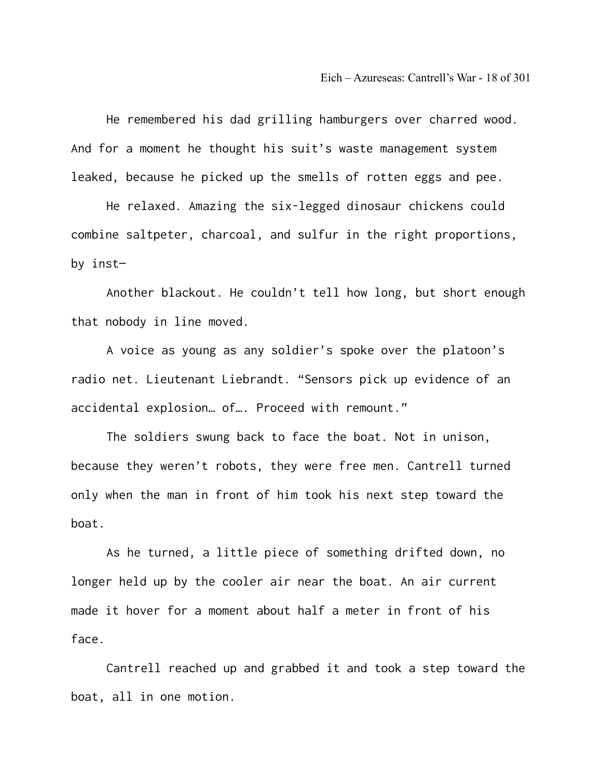He remembered his dad grilling hamburgers over charred wood. And for a moment he thought his suit's waste management system leaked, because he picked up the smells of rotten eggs and pee.

He relaxed. Amazing the six-legged dinosaur chickens could combine saltpeter, charcoal, and sulfur in the right proportions, by inst—

Another blackout. He couldn't tell how long, but short enough that nobody in line moved.

A voice as young as any soldier's spoke over the platoon's radio net. Lieutenant Liebrandt. "Sensors pick up evidence of an accidental explosion… of…. Proceed with remount."

The soldiers swung back to face the boat. Not in unison, because they weren't robots, they were free men. Cantrell turned only when the man in front of him took his next step toward the boat.

As he turned, a little piece of something drifted down, no longer held up by the cooler air near the boat. An air current made it hover for a moment about half a meter in front of his face.

Cantrell reached up and grabbed it and took a step toward the boat, all in one motion.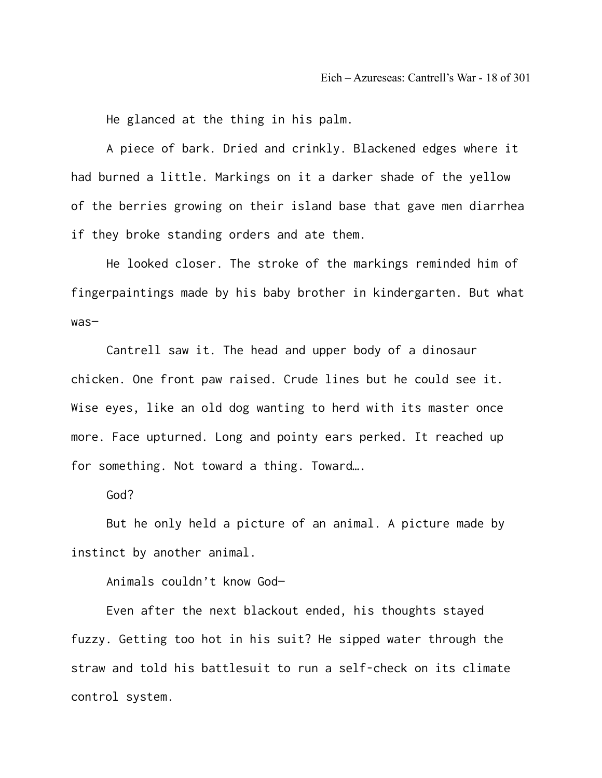He glanced at the thing in his palm.

A piece of bark. Dried and crinkly. Blackened edges where it had burned a little. Markings on it a darker shade of the yellow of the berries growing on their island base that gave men diarrhea if they broke standing orders and ate them.

He looked closer. The stroke of the markings reminded him of fingerpaintings made by his baby brother in kindergarten. But what was—

Cantrell saw it. The head and upper body of a dinosaur chicken. One front paw raised. Crude lines but he could see it. Wise eyes, like an old dog wanting to herd with its master once more. Face upturned. Long and pointy ears perked. It reached up for something. Not toward a thing. Toward….

God?

But he only held a picture of an animal. A picture made by instinct by another animal.

Animals couldn't know God—

Even after the next blackout ended, his thoughts stayed fuzzy. Getting too hot in his suit? He sipped water through the straw and told his battlesuit to run a self-check on its climate control system.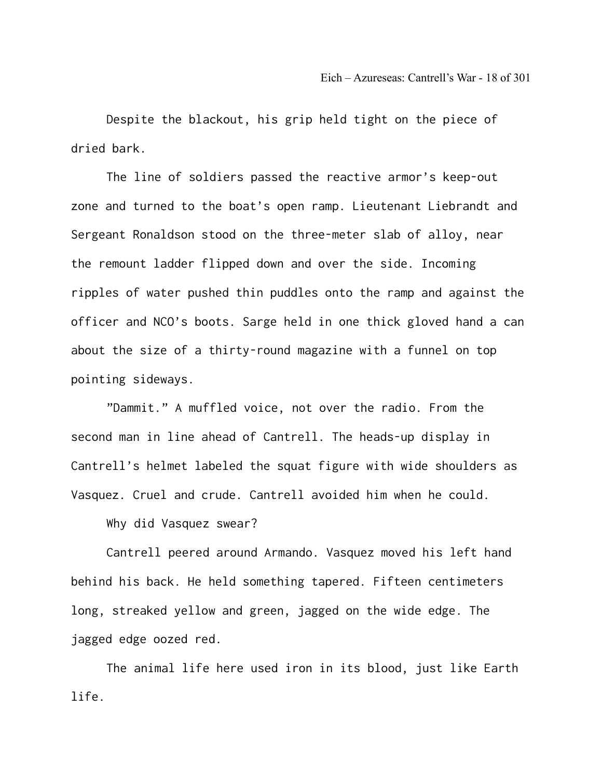Despite the blackout, his grip held tight on the piece of dried bark.

The line of soldiers passed the reactive armor's keep-out zone and turned to the boat's open ramp. Lieutenant Liebrandt and Sergeant Ronaldson stood on the three-meter slab of alloy, near the remount ladder flipped down and over the side. Incoming ripples of water pushed thin puddles onto the ramp and against the officer and NCO's boots. Sarge held in one thick gloved hand a can about the size of a thirty-round magazine with a funnel on top pointing sideways.

"Dammit." A muffled voice, not over the radio. From the second man in line ahead of Cantrell. The heads-up display in Cantrell's helmet labeled the squat figure with wide shoulders as Vasquez. Cruel and crude. Cantrell avoided him when he could.

Why did Vasquez swear?

Cantrell peered around Armando. Vasquez moved his left hand behind his back. He held something tapered. Fifteen centimeters long, streaked yellow and green, jagged on the wide edge. The jagged edge oozed red.

The animal life here used iron in its blood, just like Earth life.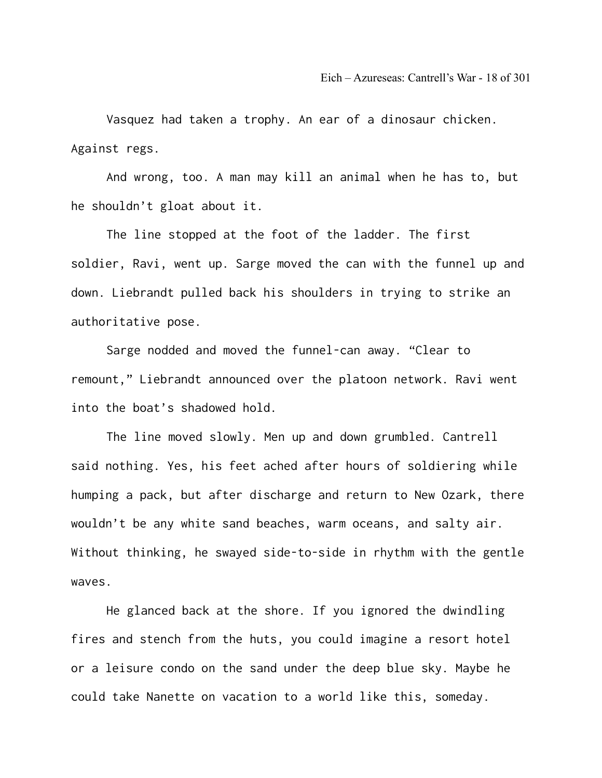Vasquez had taken a trophy. An ear of a dinosaur chicken. Against regs.

And wrong, too. A man may kill an animal when he has to, but he shouldn't gloat about it.

The line stopped at the foot of the ladder. The first soldier, Ravi, went up. Sarge moved the can with the funnel up and down. Liebrandt pulled back his shoulders in trying to strike an authoritative pose.

Sarge nodded and moved the funnel-can away. "Clear to remount," Liebrandt announced over the platoon network. Ravi went into the boat's shadowed hold.

The line moved slowly. Men up and down grumbled. Cantrell said nothing. Yes, his feet ached after hours of soldiering while humping a pack, but after discharge and return to New Ozark, there wouldn't be any white sand beaches, warm oceans, and salty air. Without thinking, he swayed side-to-side in rhythm with the gentle waves.

He glanced back at the shore. If you ignored the dwindling fires and stench from the huts, you could imagine a resort hotel or a leisure condo on the sand under the deep blue sky. Maybe he could take Nanette on vacation to a world like this, someday.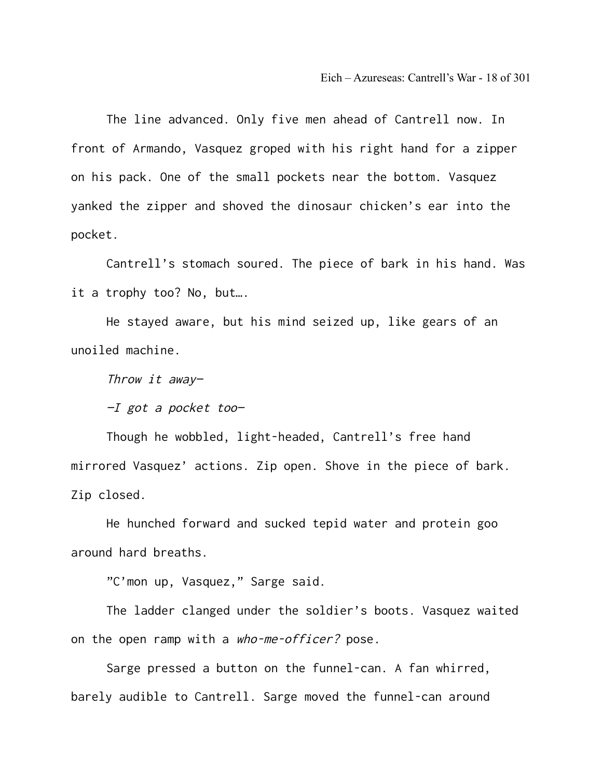Eich – Azureseas: Cantrell's War - 18 of 301

The line advanced. Only five men ahead of Cantrell now. In front of Armando, Vasquez groped with his right hand for a zipper on his pack. One of the small pockets near the bottom. Vasquez yanked the zipper and shoved the dinosaur chicken's ear into the pocket.

Cantrell's stomach soured. The piece of bark in his hand. Was it a trophy too? No, but….

He stayed aware, but his mind seized up, like gears of an unoiled machine.

Throw it away—

 $-I$  got a pocket too-

Though he wobbled, light-headed, Cantrell's free hand mirrored Vasquez' actions. Zip open. Shove in the piece of bark. Zip closed.

He hunched forward and sucked tepid water and protein goo around hard breaths.

"C'mon up, Vasquez," Sarge said.

The ladder clanged under the soldier's boots. Vasquez waited on the open ramp with a who-me-officer? pose.

Sarge pressed a button on the funnel-can. A fan whirred, barely audible to Cantrell. Sarge moved the funnel-can around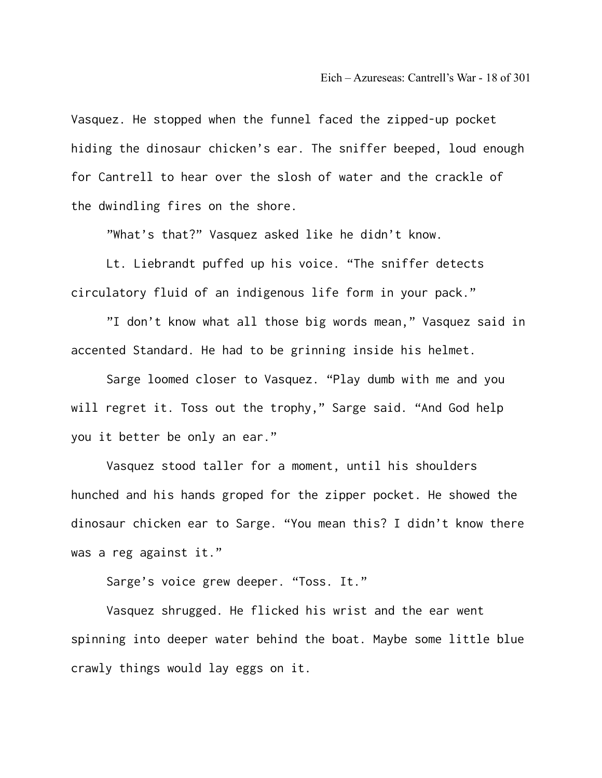Vasquez. He stopped when the funnel faced the zipped-up pocket hiding the dinosaur chicken's ear. The sniffer beeped, loud enough for Cantrell to hear over the slosh of water and the crackle of the dwindling fires on the shore.

"What's that?" Vasquez asked like he didn't know.

Lt. Liebrandt puffed up his voice. "The sniffer detects circulatory fluid of an indigenous life form in your pack."

"I don't know what all those big words mean," Vasquez said in accented Standard. He had to be grinning inside his helmet.

Sarge loomed closer to Vasquez. "Play dumb with me and you will regret it. Toss out the trophy," Sarge said. "And God help you it better be only an ear."

Vasquez stood taller for a moment, until his shoulders hunched and his hands groped for the zipper pocket. He showed the dinosaur chicken ear to Sarge. "You mean this? I didn't know there was a reg against it."

Sarge's voice grew deeper. "Toss. It."

Vasquez shrugged. He flicked his wrist and the ear went spinning into deeper water behind the boat. Maybe some little blue crawly things would lay eggs on it.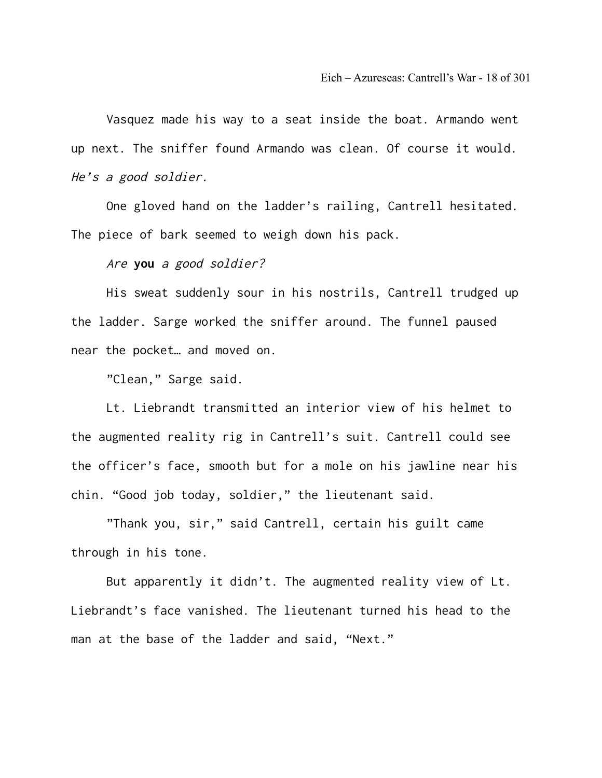Vasquez made his way to a seat inside the boat. Armando went up next. The sniffer found Armando was clean. Of course it would. He's a good soldier.

One gloved hand on the ladder's railing, Cantrell hesitated. The piece of bark seemed to weigh down his pack.

Are **you** a good soldier?

His sweat suddenly sour in his nostrils, Cantrell trudged up the ladder. Sarge worked the sniffer around. The funnel paused near the pocket… and moved on.

"Clean," Sarge said.

Lt. Liebrandt transmitted an interior view of his helmet to the augmented reality rig in Cantrell's suit. Cantrell could see the officer's face, smooth but for a mole on his jawline near his chin. "Good job today, soldier," the lieutenant said.

"Thank you, sir," said Cantrell, certain his guilt came through in his tone.

But apparently it didn't. The augmented reality view of Lt. Liebrandt's face vanished. The lieutenant turned his head to the man at the base of the ladder and said, "Next."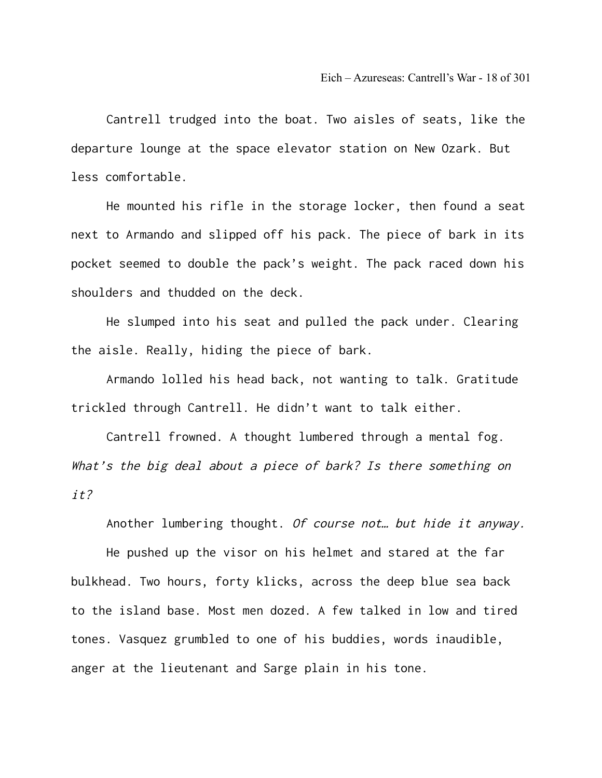Cantrell trudged into the boat. Two aisles of seats, like the departure lounge at the space elevator station on New Ozark. But less comfortable.

He mounted his rifle in the storage locker, then found a seat next to Armando and slipped off his pack. The piece of bark in its pocket seemed to double the pack's weight. The pack raced down his shoulders and thudded on the deck.

He slumped into his seat and pulled the pack under. Clearing the aisle. Really, hiding the piece of bark.

Armando lolled his head back, not wanting to talk. Gratitude trickled through Cantrell. He didn't want to talk either.

Cantrell frowned. A thought lumbered through a mental fog. What's the big deal about a piece of bark? Is there something on it?

Another lumbering thought. Of course not… but hide it anyway.

He pushed up the visor on his helmet and stared at the far bulkhead. Two hours, forty klicks, across the deep blue sea back to the island base. Most men dozed. A few talked in low and tired tones. Vasquez grumbled to one of his buddies, words inaudible, anger at the lieutenant and Sarge plain in his tone.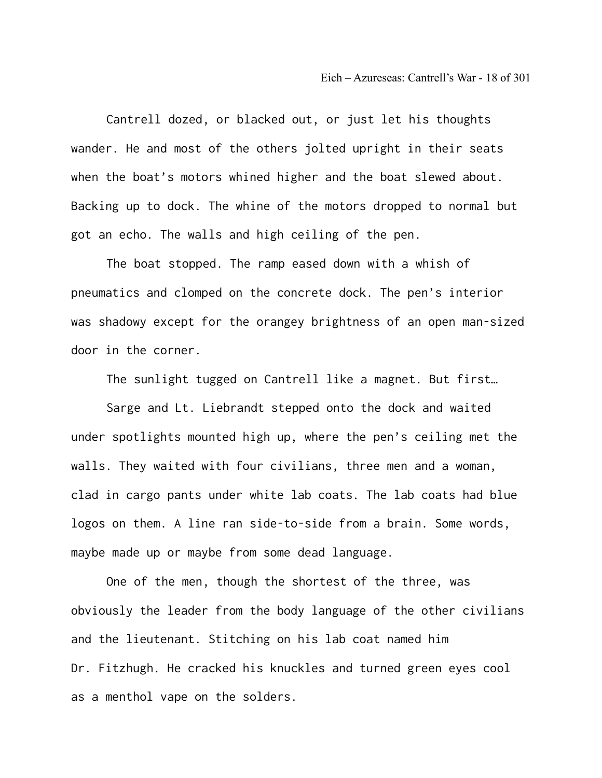Cantrell dozed, or blacked out, or just let his thoughts wander. He and most of the others jolted upright in their seats when the boat's motors whined higher and the boat slewed about. Backing up to dock. The whine of the motors dropped to normal but got an echo. The walls and high ceiling of the pen.

The boat stopped. The ramp eased down with a whish of pneumatics and clomped on the concrete dock. The pen's interior was shadowy except for the orangey brightness of an open man-sized door in the corner.

The sunlight tugged on Cantrell like a magnet. But first…

Sarge and Lt. Liebrandt stepped onto the dock and waited under spotlights mounted high up, where the pen's ceiling met the walls. They waited with four civilians, three men and a woman, clad in cargo pants under white lab coats. The lab coats had blue logos on them. A line ran side-to-side from a brain. Some words, maybe made up or maybe from some dead language.

One of the men, though the shortest of the three, was obviously the leader from the body language of the other civilians and the lieutenant. Stitching on his lab coat named him Dr. Fitzhugh. He cracked his knuckles and turned green eyes cool as a menthol vape on the solders.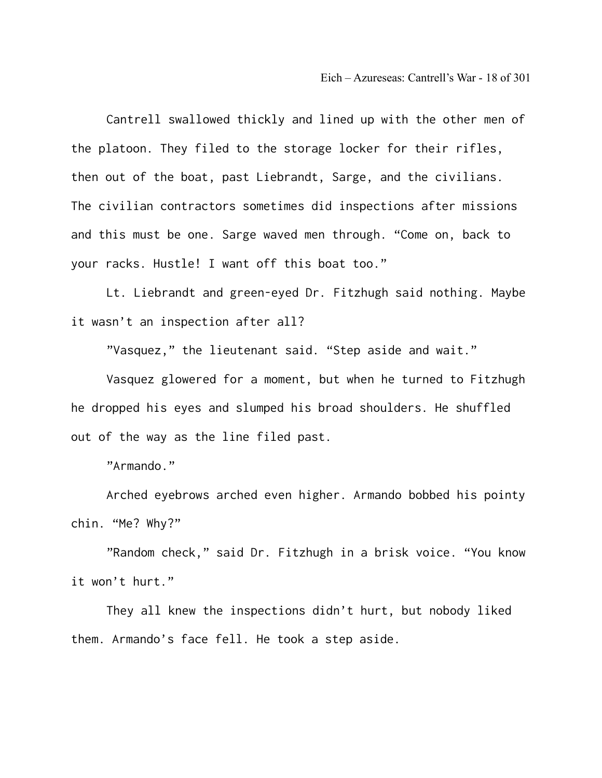Cantrell swallowed thickly and lined up with the other men of the platoon. They filed to the storage locker for their rifles, then out of the boat, past Liebrandt, Sarge, and the civilians. The civilian contractors sometimes did inspections after missions and this must be one. Sarge waved men through. "Come on, back to your racks. Hustle! I want off this boat too."

Lt. Liebrandt and green-eyed Dr. Fitzhugh said nothing. Maybe it wasn't an inspection after all?

"Vasquez," the lieutenant said. "Step aside and wait."

Vasquez glowered for a moment, but when he turned to Fitzhugh he dropped his eyes and slumped his broad shoulders. He shuffled out of the way as the line filed past.

"Armando."

Arched eyebrows arched even higher. Armando bobbed his pointy chin. "Me? Why?"

"Random check," said Dr. Fitzhugh in a brisk voice. "You know it won't hurt."

They all knew the inspections didn't hurt, but nobody liked them. Armando's face fell. He took a step aside.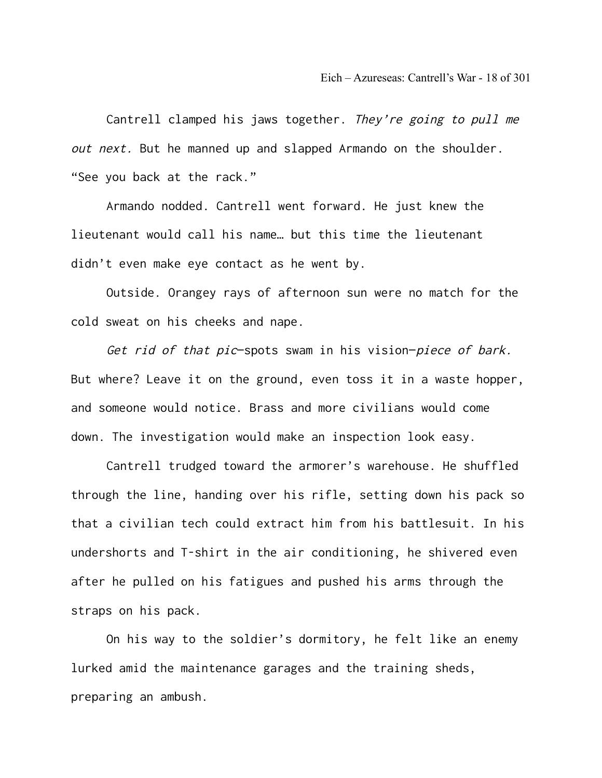Cantrell clamped his jaws together. They're going to pull me out next. But he manned up and slapped Armando on the shoulder. "See you back at the rack."

Armando nodded. Cantrell went forward. He just knew the lieutenant would call his name… but this time the lieutenant didn't even make eye contact as he went by.

Outside. Orangey rays of afternoon sun were no match for the cold sweat on his cheeks and nape.

Get rid of that pic-spots swam in his vision-piece of bark. But where? Leave it on the ground, even toss it in a waste hopper, and someone would notice. Brass and more civilians would come down. The investigation would make an inspection look easy.

Cantrell trudged toward the armorer's warehouse. He shuffled through the line, handing over his rifle, setting down his pack so that a civilian tech could extract him from his battlesuit. In his undershorts and T-shirt in the air conditioning, he shivered even after he pulled on his fatigues and pushed his arms through the straps on his pack.

On his way to the soldier's dormitory, he felt like an enemy lurked amid the maintenance garages and the training sheds, preparing an ambush.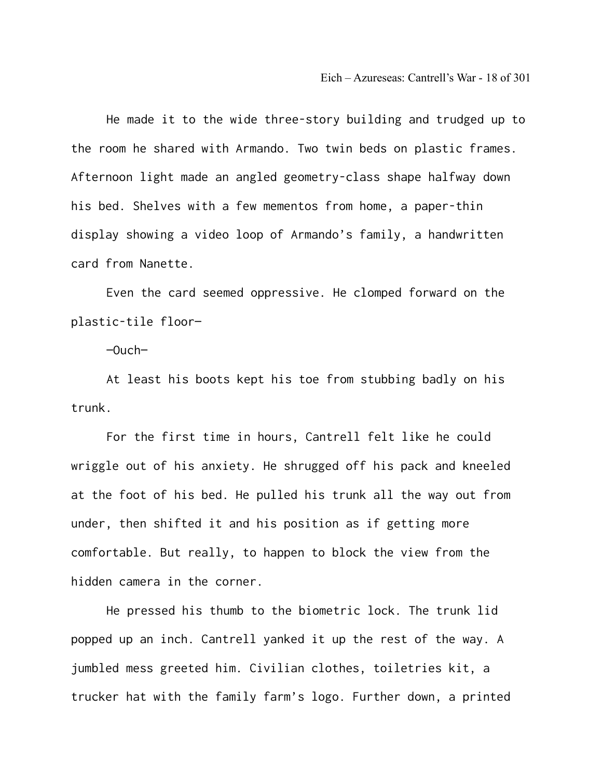He made it to the wide three-story building and trudged up to the room he shared with Armando. Two twin beds on plastic frames. Afternoon light made an angled geometry-class shape halfway down his bed. Shelves with a few mementos from home, a paper-thin display showing a video loop of Armando's family, a handwritten card from Nanette.

Even the card seemed oppressive. He clomped forward on the plastic-tile floor—

 $-$ Ouch $-$ 

At least his boots kept his toe from stubbing badly on his trunk.

For the first time in hours, Cantrell felt like he could wriggle out of his anxiety. He shrugged off his pack and kneeled at the foot of his bed. He pulled his trunk all the way out from under, then shifted it and his position as if getting more comfortable. But really, to happen to block the view from the hidden camera in the corner.

He pressed his thumb to the biometric lock. The trunk lid popped up an inch. Cantrell yanked it up the rest of the way. A jumbled mess greeted him. Civilian clothes, toiletries kit, a trucker hat with the family farm's logo. Further down, a printed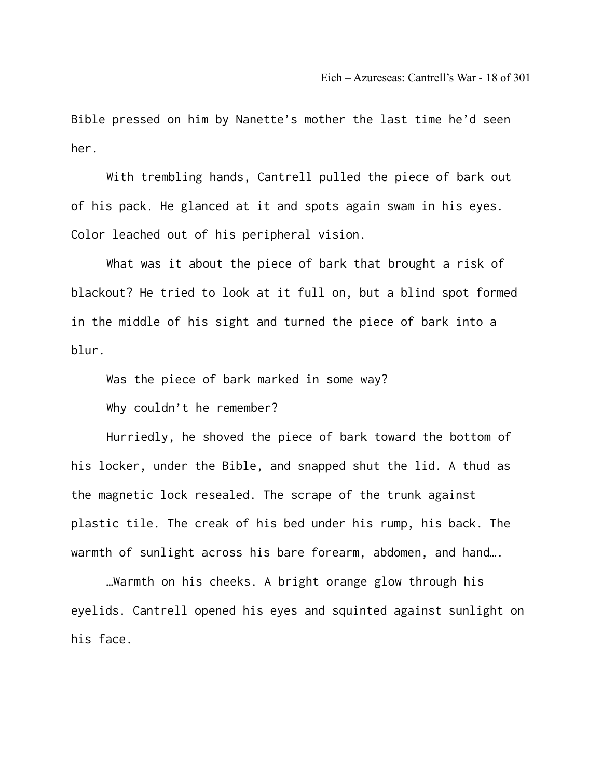Bible pressed on him by Nanette's mother the last time he'd seen her.

With trembling hands, Cantrell pulled the piece of bark out of his pack. He glanced at it and spots again swam in his eyes. Color leached out of his peripheral vision.

What was it about the piece of bark that brought a risk of blackout? He tried to look at it full on, but a blind spot formed in the middle of his sight and turned the piece of bark into a blur.

Was the piece of bark marked in some way?

Why couldn't he remember?

Hurriedly, he shoved the piece of bark toward the bottom of his locker, under the Bible, and snapped shut the lid. A thud as the magnetic lock resealed. The scrape of the trunk against plastic tile. The creak of his bed under his rump, his back. The warmth of sunlight across his bare forearm, abdomen, and hand….

…Warmth on his cheeks. A bright orange glow through his eyelids. Cantrell opened his eyes and squinted against sunlight on his face.